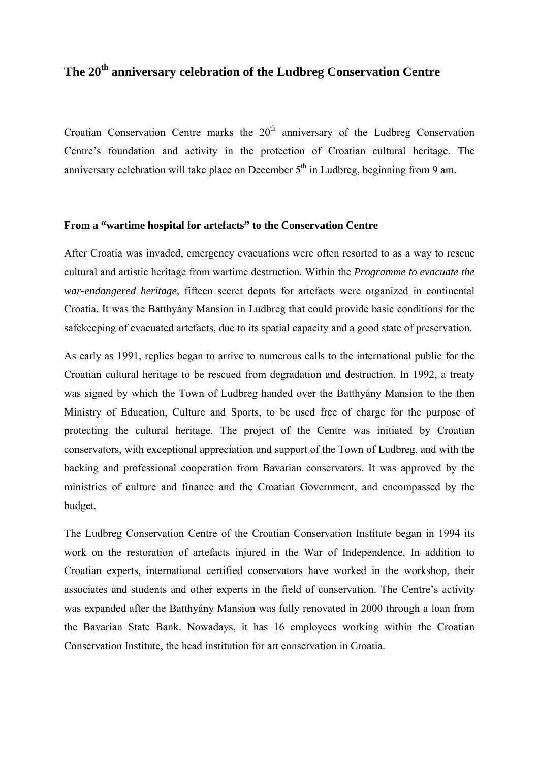## **The 20th anniversary celebration of the Ludbreg Conservation Centre**

Croatian Conservation Centre marks the  $20<sup>th</sup>$  anniversary of the Ludbreg Conservation Centre's foundation and activity in the protection of Croatian cultural heritage. The anniversary celebration will take place on December  $5<sup>th</sup>$  in Ludbreg, beginning from 9 am.

## **From a "wartime hospital for artefacts" to the Conservation Centre**

After Croatia was invaded, emergency evacuations were often resorted to as a way to rescue cultural and artistic heritage from wartime destruction. Within the *Programme to evacuate the war-endangered heritage*, fifteen secret depots for artefacts were organized in continental Croatia. It was the Batthyány Mansion in Ludbreg that could provide basic conditions for the safekeeping of evacuated artefacts, due to its spatial capacity and a good state of preservation.

As early as 1991, replies began to arrive to numerous calls to the international public for the Croatian cultural heritage to be rescued from degradation and destruction. In 1992, a treaty was signed by which the Town of Ludbreg handed over the Batthyány Mansion to the then Ministry of Education, Culture and Sports, to be used free of charge for the purpose of protecting the cultural heritage. The project of the Centre was initiated by Croatian conservators, with exceptional appreciation and support of the Town of Ludbreg, and with the backing and professional cooperation from Bavarian conservators. It was approved by the ministries of culture and finance and the Croatian Government, and encompassed by the budget.

The Ludbreg Conservation Centre of the Croatian Conservation Institute began in 1994 its work on the restoration of artefacts injured in the War of Independence. In addition to Croatian experts, international certified conservators have worked in the workshop, their associates and students and other experts in the field of conservation. The Centre's activity was expanded after the Batthyány Mansion was fully renovated in 2000 through a loan from the Bavarian State Bank. Nowadays, it has 16 employees working within the Croatian Conservation Institute, the head institution for art conservation in Croatia.